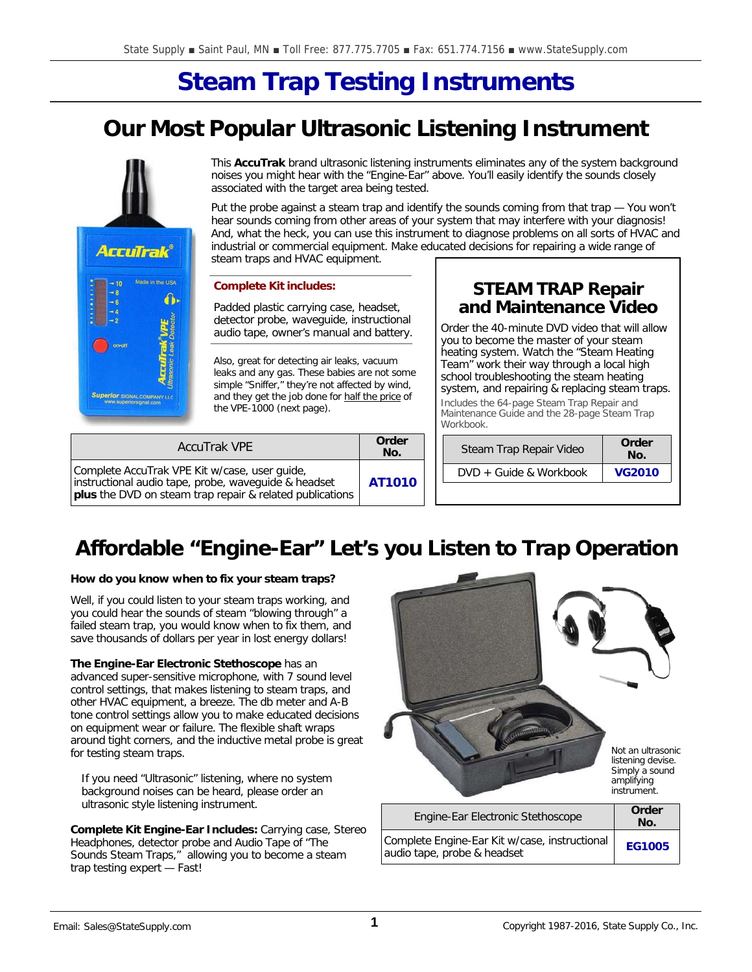# **Steam Trap Testing Instruments**

# **Our Most Popular Ultrasonic Listening Instrument**



This **AccuTrak** brand ultrasonic listening instruments eliminates any of the system background noises you might hear with the "Engine-Ear" above. You'll easily identify the sounds closely associated with the target area being tested.

Put the probe against a steam trap and identify the sounds coming from that trap — You won't hear sounds coming from other areas of your system that may interfere with your diagnosis! And, what the heck, you can use this instrument to diagnose problems on all sorts of HVAC and industrial or commercial equipment. Make educated decisions for repairing a wide range of steam traps and HVAC equipment.

#### **Complete Kit includes:**

Padded plastic carrying case, headset, detector probe, waveguide, instructional audio tape, owner's manual and battery.

Also, great for detecting air leaks, vacuum leaks and any gas. These babies are not some simple "Sniffer," they're not affected by wind, and they get the job done for half the price of the VPE-1000 (next page).

## **STEAM TRAP Repair and Maintenance Video**

Order the 40-minute DVD video that will allow you to become the master of your steam heating system. Watch the "Steam Heating Team" work their way through a local high school troubleshooting the steam heating system, and repairing & replacing steam traps. Includes the 64-page Steam Trap Repair and Maintenance Guide and the 28-page Steam Trap Workbook.

Steam Trap Repair Video **Order** 

DVD + Guide & Workbook **[VG2010](http://www.statesupply.com/catalogsearch/result/?q=vg2010)** 

**No.** 

| <b>AccuTrak VPE</b>                                                                                                                                                      | Order<br>No.  |
|--------------------------------------------------------------------------------------------------------------------------------------------------------------------------|---------------|
| Complete AccuTrak VPE Kit w/case, user guide,<br>instructional audio tape, probe, waveguide & headset<br><i>plus</i> the DVD on steam trap repair & related publications | <b>AT1010</b> |

# **Affordable "Engine-Ear" Let's you Listen to Trap Operation**

### **How do you know when to fix your steam traps?**

Well, if you could listen to your steam traps working, and you could hear the sounds of steam "blowing through" a failed steam trap, you would know when to fix them, and save thousands of dollars per year in lost energy dollars!

**The Engine-Ear Electronic Stethoscope** has an advanced super-sensitive microphone, with 7 sound level control settings, that makes listening to steam traps, and other HVAC equipment, a breeze. The db meter and A-B tone control settings allow you to make educated decisions on equipment wear or failure. The flexible shaft wraps around tight corners, and the inductive metal probe is great for testing steam traps.

*If you need "Ultrasonic" listening, where no system background noises can be heard, please order an ultrasonic style listening instrument.* 

**Complete Kit Engine-Ear Includes:** Carrying case, Stereo Headphones, detector probe and Audio Tape of "The Sounds Steam Traps," allowing you to become a steam trap testing expert — Fast!

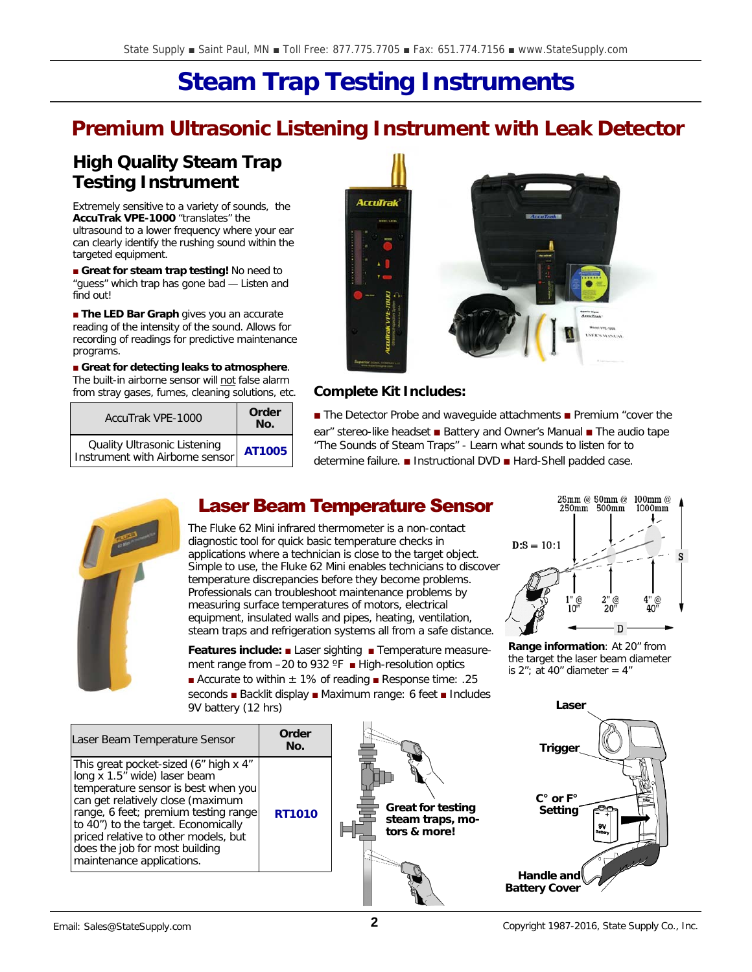# **Steam Trap Testing Instruments**

# **Premium Ultrasonic Listening Instrument with Leak Detector**

## **High Quality Steam Trap Testing Instrument**

Extremely sensitive to a variety of sounds, the **AccuTrak VPE-1000** "translates" the

ultrasound to a lower frequency where your ear can clearly identify the rushing sound within the targeted equipment.

■ **Great for steam trap testing!** No need to "guess" which trap has gone bad — Listen and find out!

■ **The LED Bar Graph** gives you an accurate reading of the intensity of the sound. Allows for recording of readings for predictive maintenance programs.

■ **Great for detecting leaks to atmosphere**.

The built-in airborne sensor will not false alarm from stray gases, fumes, cleaning solutions, etc.

| AccuTrak VPE-1000                                               | Order<br>No. |
|-----------------------------------------------------------------|--------------|
| Quality Ultrasonic Listening<br>Instrument with Airborne sensor | AT1005       |



### **Complete Kit Includes:**

■ The Detector Probe and wavequide attachments ■ Premium "cover the ear" stereo-like headset ■ Battery and Owner's Manual ■ The audio tape "The Sounds of Steam Traps" - Learn what sounds to listen for to determine failure. ■ Instructional DVD ■ Hard-Shell padded case.

## Laser Beam Temperature Sensor The Fluke 62 Mini infrared thermometer is a non-contact

diagnostic tool for quick basic temperature checks in applications where a technician is close to the target object. Simple to use, the Fluke 62 Mini enables technicians to discover temperature discrepancies before they become problems. Professionals can troubleshoot maintenance problems by measuring surface temperatures of motors, electrical equipment, insulated walls and pipes, heating, ventilation, steam traps and refrigeration systems all from a safe distance.

**Features include:** ■ Laser sighting ■ Temperature measurement range from –20 to 932 ºF ■ High-resolution optics ■ Accurate to within  $± 1\%$  of reading ■ Response time: .25 seconds ■ Backlit display ■ Maximum range: 6 feet ■ Includes 9V battery (12 hrs)



**Range information**: At 20" from the target the laser beam diameter is  $2$ "; at 40" diameter =  $4$ "